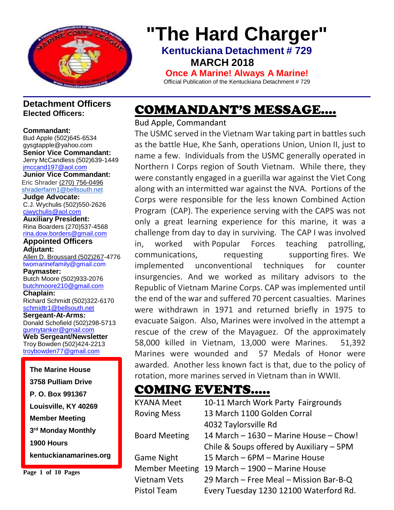

# **"The Hard Charger"**

**Kentuckiana Detachment # 729 MARCH 2018** 

**Once A Marine! Always A Marine!** Official Publication of the Kentuckiana Detachment # 729

#### **Detachment Officers Elected Officers:**

**Commandant:** Bud Apple (502)645-653[4](mailto:gysgtapple@yahoo.com) [gysgtapple@yahoo.com](mailto:gysgtapple@yahoo.com) **Senior Vice Commandant:** Jerry McCandless (502)639-1449 [jmccand197@aol.com](mailto:jmccand197@aol.com) **Junior Vice Commandant:** Eric Shrader [\(270\) 756-0496](tel:(270)%20756-0496) [shraderfarm1@bellsouth.net](mailto:shraderfarm1@bellsouth.net) **Judge Advocate:** C.J. Wychulis (502)550-2626 [cjwychulis@aol.com](mailto:cjwychulis@aol.com) **Auxiliary President:** Rina Boarders (270)537-4568 [rina.dow.borders@gmail.com](mailto:rina.dow.borders@gmail.com) **Appointed Officers Adjutant:** Allen D. Broussard (502)267-4776 [twomarinefamily@gmail.com](file:///C:/Downloads/broussard.marines@insightbb.com) **Paymaster:** Butch Moore (502)933-2076 [butchmoore210@gmail.com](mailto:butchmoore210@gmail.com) **Chaplain:** Richard Schmidt (502)322-6170 [schmidtr1@bellsouth.net](mailto:Alusmc75@gmail.com) **Sergeant-At-Arms:** Donald Schofield (502)298-5713 [gunnytanker@gmail.com](mailto:gunnytanker@gmail.com) **Web Sergeant/Newsletter** Troy Bowden (502)424-2213 [troybowden77@gmail.com](mailto:troybowden77@gmail.com) **The Marine House 3758 Pulliam Drive**

**Page 1 of 10 Pages**

**1900 Hours** 

**P. O. Box 991367**

**Member Meeting**

**Louisville, KY 40269**

**3 rd Monday Monthly**

**kentuckianamarines.org**

### COMMANDANT'S MESSAGE….

Bud Apple, Commandant

The USMC served in the Vietnam War taking part in battles such as the battle Hue, Khe Sanh, operations Union, Union II, just to name a few. Individuals from the USMC generally operated in Northern I Corps region of South Vietnam. While there, they were constantly engaged in a guerilla war against the Viet Cong along with an intermitted war against the NVA. Portions of the Corps were responsible for the less known Combined Action Program (CAP). The experience serving with the CAPS was not only a great learning experience for this marine, it was a challenge from day to day in surviving. The CAP I was involved in, worked with Popular Forces teaching patrolling, communications, requesting supporting fires. We implemented unconventional techniques for counter insurgencies. And we worked as military advisors to the Republic of Vietnam Marine Corps. CAP was implemented until the end of the war and suffered 70 percent casualties. Marines were withdrawn in 1971 and returned briefly in 1975 to evacuate Saigon. Also, Marines were involved in the attempt a rescue of the crew of the Mayaguez. Of the approximately 58,000 killed in Vietnam, 13,000 were Marines. 51,392 Marines were wounded and 57 Medals of Honor were awarded. Another less known fact is that, due to the policy of rotation, more marines served in Vietnam than in WWII.

### COMING EVENTS…..

| <b>KYANA Meet</b>     | 10-11 March Work Party Fairgrounds       |  |
|-----------------------|------------------------------------------|--|
| <b>Roving Mess</b>    | 13 March 1100 Golden Corral              |  |
|                       | 4032 Taylorsville Rd                     |  |
| <b>Board Meeting</b>  | 14 March - 1630 - Marine House - Chow!   |  |
|                       | Chile & Soups offered by Auxiliary - 5PM |  |
| <b>Game Night</b>     | 15 March - 6PM - Marine House            |  |
| <b>Member Meeting</b> | 19 March - 1900 - Marine House           |  |
| <b>Vietnam Vets</b>   | 29 March - Free Meal - Mission Bar-B-Q   |  |
| <b>Pistol Team</b>    | Every Tuesday 1230 12100 Waterford Rd.   |  |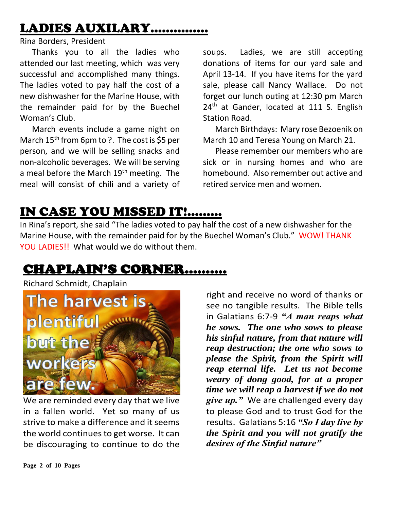# LADIES AUXILARY……………

Rina Borders, President

 Thanks you to all the ladies who attended our last meeting, which was very successful and accomplished many things. The ladies voted to pay half the cost of a new dishwasher for the Marine House, with the remainder paid for by the Buechel Woman's Club.

 March events include a game night on March 15<sup>th</sup> from 6pm to ?. The cost is \$5 per person, and we will be selling snacks and non-alcoholic beverages. We will be serving a meal before the March 19<sup>th</sup> meeting. The meal will consist of chili and a variety of

soups. Ladies, we are still accepting donations of items for our yard sale and April 13-14. If you have items for the yard sale, please call Nancy Wallace. Do not forget our lunch outing at 12:30 pm March 24<sup>th</sup> at Gander, located at 111 S. English Station Road.

 March Birthdays: Mary rose Bezoenik on March 10 and Teresa Young on March 21.

 Please remember our members who are sick or in nursing homes and who are homebound. Also remember out active and retired service men and women.

### IN CASE YOU MISSED IT!.........

In Rina's report, she said "The ladies voted to pay half the cost of a new dishwasher for the Marine House, with the remainder paid for by the Buechel Woman's Club." WOW! THANK YOU LADIES!! What would we do without them.

### CHAPLAIN'S CORNER……….

Richard Schmidt, Chaplain



We are reminded every day that we live in a fallen world. Yet so many of us strive to make a difference and it seems the world continues to get worse. It can be discouraging to continue to do the

right and receive no word of thanks or see no tangible results. The Bible tells in Galatians 6:7-9 *"A man reaps what he sows. The one who sows to please his sinful nature, from that nature will reap destruction; the one who sows to please the Spirit, from the Spirit will reap eternal life. Let us not become weary of dong good, for at a proper time we will reap a harvest if we do not give up."* We are challenged every day to please God and to trust God for the results. Galatians 5:16 *"So I day live by the Spirit and you will not gratify the desires of the Sinful nature"*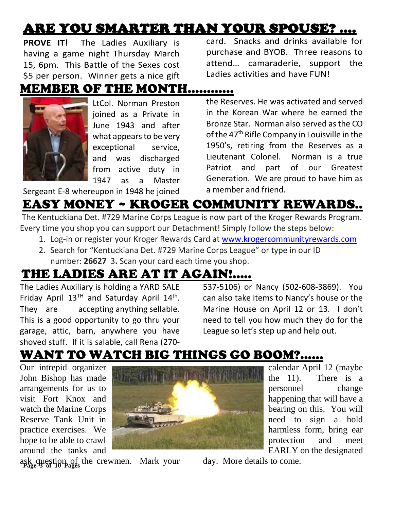# ARE YOU SMARTER THAN YOUR SPOUSE? ….

**PROVE IT!** The Ladies Auxiliary is having a game night Thursday March 15, 6pm. This Battle of the Sexes cost \$5 per person. Winner gets a nice gift

card. Snacks and drinks available for purchase and BYOB. Three reasons to attend… camaraderie, support the Ladies activities and have FUN!

#### MEMBER OF THE MONTH…………



LtCol. Norman Preston joined as a Private in June 1943 and after what appears to be very exceptional service, and was discharged from active duty in 1947 as a Master

the Reserves. He was activated and served in the Korean War where he earned the Bronze Star. Norman also served as the CO of the 47<sup>th</sup> Rifle Company in Louisville in the 1950's, retiring from the Reserves as a Lieutenant Colonel. Norman is a true Patriot and part of our Greatest Generation. We are proud to have him as a member and friend.

#### Sergeant E-8 whereupon in 1948 he joined

# EASY MONEY ~ KROGER COMMUNITY REWARDS..

The Kentuckiana Det. #729 Marine Corps League is now part of the Kroger Rewards Program. Every time you shop you can support our Detachment! Simply follow the steps below:

- 1. Log-in or register your Kroger Rewards Card at [www.krogercommunityrewards.com](https://eur02.safelinks.protection.outlook.com/?url=http%3A%2F%2Flink.mx-sender-3ew.com%2Fwf%2Fclick%3Fupn%3DaGI5YH-2FFjvYyEAZ6T016HF2edPJaaJsFfd1aBqDIv3MgxIPJx6zpYp8ibNO5aKeEI0Zw7-2FIQYHTzwgQb4Odcy6fsKmQ1UPXqx2WjdjWZhcDrTBpDvMUq7LhpGdFFRIaG4Nx4w-2Ft-2FIzrVDT2fjCS-2FJaFpOODr1cVZj79C9NXanJjtZvA7wQdoyYT40F7KISrSG2qpArQIvy6pAL3ITz-2FNjjLFkhFzH6rLBh9aKor5PtPO2hZf7YXWFs-2FmvF6fohvQOlfqD-2FmEjSKKOngWm2kxxg-3D-3D_pR5LNQlR7JZl7I-2BtPrB1mFRnTHW0U2uhOKM2-2BL4iHvLBCfAqti7W6L5LngQyrfLw-2FCL3uSgL4zluw0cjjooa27AzpHYH5Sbd2OegmEDpLuA7zZ1K10bfyTbKhTxlUp0Uy69gRR1NSIdD6Sx583y5lZVM1vRfmi-2FbkzT28bHRbboO59HZcNfZ59XztQ0N6N-2BFaBFDef7uo3HdGgtYU7lbP01xRW06mmPl70x-2FG8LWrWTE77Yh-2F1T3ijjy8QjccdK0gW38OmadEYalFvqBHmReX4Rh4qIYMBFdZHrIvgJejGYLAPfgVB7soE2C4RGpYHDKxCDK6s9BH40KTeAsbs9BdI2iZ6VdSI8P9sAa-2BHvKo1N3-2BGfjwNMfgRgwg3nFs42OZgvPFC-2BMShZXX44uHldKm2BwUdADMCXQcRQGaKrGTMqWroPsLCJ-2B8IiZ7FvN3N1G&data=02%7C01%7C%7C1f8a34bdd2454c1e13d308d55ff57079%7C84df9e7fe9f640afb435aaaaaaaaaaaa%7C1%7C0%7C636520430109908544&sdata=czQral241yXgikyZI5y8NQzJwy5kXjjVZJlADQr6orI%3D&reserved=0)
- 2. Search for "Kentuckiana Det. #729 Marine Corps League" or type in our ID number: **26627** 3**.** Scan your card each time you shop.

### THE LADIES ARE AT IT AGAIN!.....

The Ladies Auxiliary is holding a YARD SALE Friday April  $13<sup>TH</sup>$  and Saturday April  $14<sup>th</sup>$ . They are accepting anything sellable. This is a good opportunity to go thru your garage, attic, barn, anywhere you have shoved stuff. If it is salable, call Rena (270537-5106) or Nancy (502-608-3869). You can also take items to Nancy's house or the Marine House on April 12 or 13. I don't need to tell you how much they do for the League so let's step up and help out.

# WANT TO WATCH BIG THINGS GO BOOM?......

Our intrepid organizer John Bishop has made arrangements for us to visit Fort Knox and watch the Marine Corps Reserve Tank Unit in practice exercises. We hope to be able to crawl around the tanks and



calendar April 12 (maybe the 11). There is a personnel change happening that will have a bearing on this. You will need to sign a hold harmless form, bring ear protection and meet EARLY on the designated

**Page 3 of 10 Pages** ask question of the crewmen. Mark your

day. More details to come.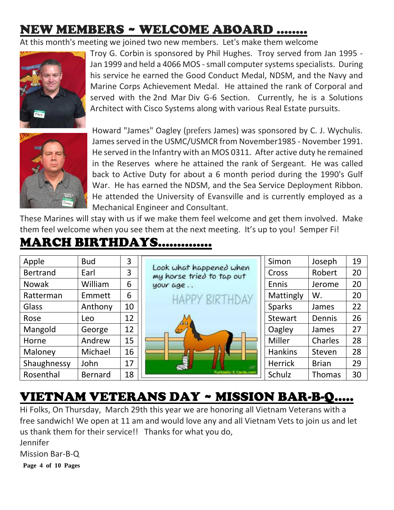# NEW MEMBERS ~ WELCOME ABOARD ……..

At this month's meeting we joined two new members. Let's make them welcome



Troy G. Corbin is sponsored by Phil Hughes. Troy served from Jan 1995 - Jan 1999 and held a 4066 MOS - small computer systems specialists. During his service he earned the Good Conduct Medal, NDSM, and the Navy and Marine Corps Achievement Medal. He attained the rank of Corporal and served with the 2nd Mar Div G-6 Section. Currently, he is a Solutions Architect with Cisco Systems along with various Real Estate pursuits.



Howard "James" Oagley (prefers James) was sponsored by C. J. Wychulis. James served in the USMC/USMCR from November1985 - November 1991. He served in the Infantry with an MOS 0311. After active duty he remained in the Reserves where he attained the rank of Sergeant. He was called back to Active Duty for about a 6 month period during the 1990's Gulf War. He has earned the NDSM, and the Sea Service Deployment Ribbon. He attended the University of Evansville and is currently employed as a Mechanical Engineer and Consultant.

These Marines will stay with us if we make them feel welcome and get them involved. Make them feel welcome when you see them at the next meeting. It's up to you! Semper Fi!

#### MARCH BIRTHDAYS…………..

| Apple           | <b>Bud</b>     | 3  |                                                      | Simon          | Joseph        | 19 |
|-----------------|----------------|----|------------------------------------------------------|----------------|---------------|----|
| <b>Bertrand</b> | Earl           | 3  | Look what happened when<br>my horse tried to tap out | Cross          | Robert        | 20 |
| <b>Nowak</b>    | William        | 6  | your age                                             | Ennis          | Jerome        | 20 |
| Ratterman       | Emmett         | 6  | <b>HAPPY BIRTHDAY</b>                                | Mattingly      | W.            | 20 |
| Glass           | Anthony        | 10 |                                                      | <b>Sparks</b>  | James         | 22 |
| Rose            | Leo            | 12 |                                                      | <b>Stewart</b> | Dennis        | 26 |
| Mangold         | George         | 12 |                                                      | Oagley         | James         | 27 |
| Horne           | Andrew         | 15 |                                                      | Miller         | Charles       | 28 |
| Maloney         | Michael        | 16 |                                                      | <b>Hankins</b> | Steven        | 28 |
| Shaughnessy     | John           | 17 |                                                      | <b>Herrick</b> | <b>Brian</b>  | 29 |
| Rosenthal       | <b>Bernard</b> | 18 | Funtastic E Cards.com                                | Schulz         | <b>Thomas</b> | 30 |

### VIETNAM VETERANS DAY ~ MISSION BAR-B-Q…..

Hi Folks, On Thursday, March 29th this year we are honoring all Vietnam Veterans with a free sandwich! We open at 11 am and would love any and all Vietnam Vets to join us and let us thank them for their service!! Thanks for what you do,

Jennifer

Mission Bar-B-Q

**Page 4 of 10 Pages**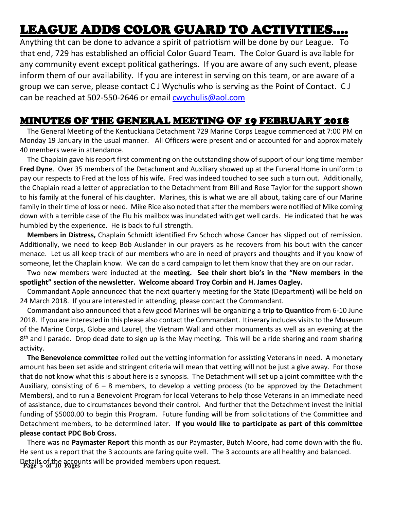# LEAGUE ADDS COLOR GUARD TO ACTIVITIES….

Anything tht can be done to advance a spirit of patriotism will be done by our League. To that end, 729 has established an official Color Guard Team. The Color Guard is available for any community event except political gatherings. If you are aware of any such event, please inform them of our availability. If you are interest in serving on this team, or are aware of a group we can serve, please contact C J Wychulis who is serving as the Point of Contact. C J can be reached at 502-550-2646 or email [cwychulis@aol.com](mailto:cwychulis@aol.com)

#### MINUTES OF THE GENERAL MEETING OF 19 FEBRUARY 2018

 The General Meeting of the Kentuckiana Detachment 729 Marine Corps League commenced at 7:00 PM on Monday 19 January in the usual manner. All Officers were present and or accounted for and approximately 40 members were in attendance.

 The Chaplain gave his report first commenting on the outstanding show of support of our long time member **Fred Dyne**. Over 35 members of the Detachment and Auxiliary showed up at the Funeral Home in uniform to pay our respects to Fred at the loss of his wife. Fred was indeed touched to see such a turn out. Additionally, the Chaplain read a letter of appreciation to the Detachment from Bill and Rose Taylor for the support shown to his family at the funeral of his daughter. Marines, this is what we are all about, taking care of our Marine family in their time of loss or need. Mike Rice also noted that after the members were notified of Mike coming down with a terrible case of the Flu his mailbox was inundated with get well cards. He indicated that he was humbled by the experience. He is back to full strength.

 **Members in Distress,** Chaplain Schmidt identified Erv Schoch whose Cancer has slipped out of remission. Additionally, we need to keep Bob Auslander in our prayers as he recovers from his bout with the cancer menace. Let us all keep track of our members who are in need of prayers and thoughts and if you know of someone, let the Chaplain know. We can do a card campaign to let them know that they are on our radar.

 Two new members were inducted at the **meeting. See their short bio's in the "New members in the spotlight" section of the newsletter. Welcome aboard Troy Corbin and H. James Oagley.**

 Commandant Apple announced that the next quarterly meeting for the State (Department) will be held on 24 March 2018. If you are interested in attending, please contact the Commandant.

 Commandant also announced that a few good Marines will be organizing a **trip to Quantico** from 6-10 June 2018. If you are interested in this please also contact the Commandant. Itinerary includes visits to the Museum of the Marine Corps, Globe and Laurel, the Vietnam Wall and other monuments as well as an evening at the 8<sup>th</sup> and I parade. Drop dead date to sign up is the May meeting. This will be a ride sharing and room sharing activity.

 **The Benevolence committee** rolled out the vetting information for assisting Veterans in need. A monetary amount has been set aside and stringent criteria will mean that vetting will not be just a give away. For those that do not know what this is about here is a synopsis. The Detachment will set up a joint committee with the Auxiliary, consisting of  $6 - 8$  members, to develop a vetting process (to be approved by the Detachment Members), and to run a Benevolent Program for local Veterans to help those Veterans in an immediate need of assistance, due to circumstances beyond their control. And further that the Detachment invest the initial funding of \$5000.00 to begin this Program. Future funding will be from solicitations of the Committee and Detachment members, to be determined later. **If you would like to participate as part of this committee please contact PDC Bob Cross.**

**Page 5 of 10 Pages** Details of the accounts will be provided members upon request. There was no **Paymaster Report** this month as our Paymaster, Butch Moore, had come down with the flu. He sent us a report that the 3 accounts are faring quite well. The 3 accounts are all healthy and balanced.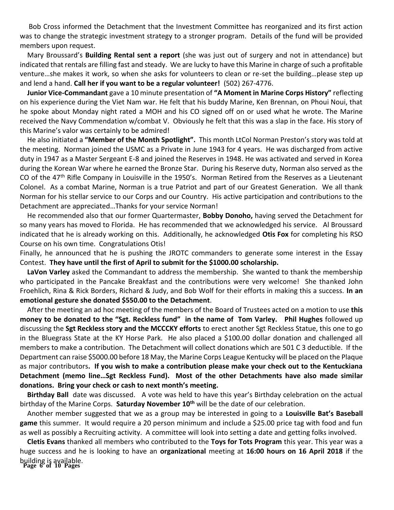Bob Cross informed the Detachment that the Investment Committee has reorganized and its first action was to change the strategic investment strategy to a stronger program. Details of the fund will be provided members upon request.

 Mary Broussard's **Building Rental sent a report** (she was just out of surgery and not in attendance) but indicated that rentals are filling fast and steady. We are lucky to have this Marine in charge of such a profitable venture…she makes it work, so when she asks for volunteers to clean or re-set the building…please step up and lend a hand. **Call her if you want to be a regular volunteer!** (502) 267-4776.

 **Junior Vice-Commandant** gave a 10 minute presentation of **"A Moment in Marine Corps History"** reflecting on his experience during the Viet Nam war. He felt that his buddy Marine, Ken Brennan, on Phoui Noui, that he spoke about Monday night rated a MOH and his CO signed off on or used what he wrote. The Marine received the Navy Commendation w/combat V. Obviously he felt that this was a slap in the face. His story of this Marine's valor was certainly to be admired!

 He also initiated a **"Member of the Month Spotlight".** This month LtCol Norman Preston's story was told at the meeting. Norman joined the USMC as a Private in June 1943 for 4 years. He was discharged from active duty in 1947 as a Master Sergeant E-8 and joined the Reserves in 1948. He was activated and served in Korea during the Korean War where he earned the Bronze Star. During his Reserve duty, Norman also served as the CO of the 47<sup>th</sup> Rifle Company in Louisville in the 1950's. Norman Retired from the Reserves as a Lieutenant Colonel. As a combat Marine, Norman is a true Patriot and part of our Greatest Generation. We all thank Norman for his stellar service to our Corps and our Country. His active participation and contributions to the Detachment are appreciated…Thanks for your service Norman!

 He recommended also that our former Quartermaster, **Bobby Donoho,** having served the Detachment for so many years has moved to Florida. He has recommended that we acknowledged his service. Al Broussard indicated that he is already working on this. Additionally, he acknowledged **Otis Fox** for completing his RSO Course on his own time. Congratulations Otis!

Finally, he announced that he is pushing the JROTC commanders to generate some interest in the Essay Contest. **They have until the first of April to submit for the \$1000.00 scholarship.**

 **LaVon Varley** asked the Commandant to address the membership. She wanted to thank the membership who participated in the Pancake Breakfast and the contributions were very welcome! She thanked John Froehlich, Rina & Rick Borders, Richard & Judy, and Bob Wolf for their efforts in making this a success. **In an emotional gesture she donated \$550.00 to the Detachment**.

 After the meeting an ad hoc meeting of the members of the Board of Trustees acted on a motion to use **this money to be donated to the "Sgt. Reckless fund" in the name of Tom Varley. Phil Hughes** followed up discussing the **Sgt Reckless story and the MCCCKY efforts** to erect another Sgt Reckless Statue, this one to go in the Bluegrass State at the KY Horse Park. He also placed a \$100.00 dollar donation and challenged all members to make a contribution. The Detachment will collect donations which are 501 C 3 deductible. If the Department can raise \$5000.00 before 18 May, the Marine Corps League Kentucky will be placed on the Plaque as major contributors**. If you wish to make a contribution please make your check out to the Kentuckiana Detachment (memo line…Sgt Reckless Fund). Most of the other Detachments have also made similar donations. Bring your check or cash to next month's meeting.**

 **Birthday Ball** date was discussed. A vote was held to have this year's Birthday celebration on the actual birthday of the Marine Corps. **Saturday November 10th** will be the date of our celebration.

 Another member suggested that we as a group may be interested in going to a **Louisville Bat's Baseball game** this summer. It would require a 20 person minimum and include a \$25.00 price tag with food and fun as well as possibly a Recruiting activity. A committee will look into setting a date and getting folks involved.

**Page 6 of 10 Pages** building is available.  **Cletis Evans** thanked all members who contributed to the **Toys for Tots Program** this year. This year was a huge success and he is looking to have an **organizational** meeting at **16:00 hours on 16 April 2018** if the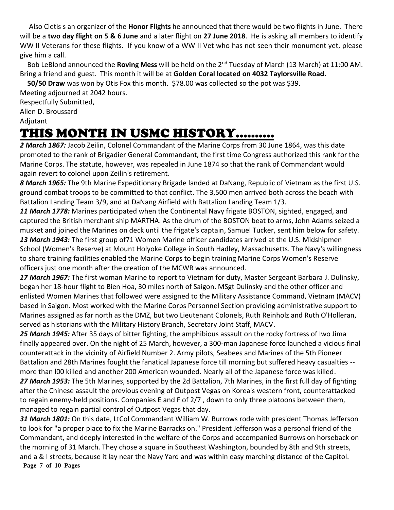Also Cletis s an organizer of the **Honor Flights** he announced that there would be two flights in June. There will be a **two day flight on 5 & 6 June** and a later flight on **27 June 2018**. He is asking all members to identify WW II Veterans for these flights. If you know of a WW II Vet who has not seen their monument yet, please give him a call.

 Bob LeBlond announced the **Roving Mess** will be held on the 2nd Tuesday of March (13 March) at 11:00 AM. Bring a friend and guest. This month it will be at **Golden Coral located on 4032 Taylorsville Road.** 

 **50/50 Draw** was won by Otis Fox this month. \$78.00 was collected so the pot was \$39.

Meeting adjourned at 2042 hours. Respectfully Submitted, Allen D. Broussard Adjutant

# THIS MONTH IN USMC HISTORY……….

*2 March 1867:* Jacob Zeilin, Colonel Commandant of the Marine Corps from 30 June 1864, was this date promoted to the rank of Brigadier General Commandant, the first time Congress authorized this rank for the Marine Corps. The statute, however, was repealed in June 1874 so that the rank of Commandant would again revert to colonel upon Zeilin's retirement.

*8 March 1965:* The 9th Marine Expeditionary Brigade landed at DaNang, Republic of Vietnam as the first U.S. ground combat troops to be committed to that conflict. The 3,500 men arrived both across the beach with Battalion Landing Team 3/9, and at DaNang Airfield with Battalion Landing Team 1/3.

*11 March 1778:* Marines participated when the Continental Navy frigate BOSTON, sighted, engaged, and captured the British merchant ship MARTHA. As the drum of the BOSTON beat to arms, John Adams seized a musket and joined the Marines on deck until the frigate's captain, Samuel Tucker, sent him below for safety. *13 March 1943:* The first group of71 Women Marine officer candidates arrived at the U.S. Midshipmen School (Women's Reserve) at Mount Holyoke College in South Hadley, Massachusetts. The Navy's willingness to share training facilities enabled the Marine Corps to begin training Marine Corps Women's Reserve officers just one month after the creation of the MCWR was announced.

*17 March 1967:* The first woman Marine to report to Vietnam for duty, Master Sergeant Barbara J. Dulinsky, began her 18-hour flight to Bien Hoa, 30 miles north of Saigon. MSgt Dulinsky and the other officer and enlisted Women Marines that followed were assigned to the Military Assistance Command, Vietnam (MACV) based in Saigon. Most worked with the Marine Corps Personnel Section providing administrative support to Marines assigned as far north as the DMZ, but two Lieutenant Colonels, Ruth Reinholz and Ruth O'Holleran, served as historians with the Military History Branch, Secretary Joint Staff, MACV.

*25 March 1945:* After 35 days of bitter fighting, the amphibious assault on the rocky fortress of Iwo Jima finally appeared over. On the night of 25 March, however, a 300-man Japanese force launched a vicious final counterattack in the vicinity of Airfield Number 2. Army pilots, Seabees and Marines of the 5th Pioneer Battalion and 28th Marines fought the fanatical Japanese force till morning but suffered heavy casualties - more than l00 killed and another 200 American wounded. Nearly all of the Japanese force was killed.

*27 March 1953:* The 5th Marines, supported by the 2d Battalion, 7th Marines, in the first full day of fighting after the Chinese assault the previous evening of Outpost Vegas on Korea's western front, counterattacked to regain enemy-held positions. Companies E and F of 2/7 , down to only three platoons between them, managed to regain partial control of Outpost Vegas that day.

**Page 7 of 10 Pages** *31 March 1801:* On this date, LtCol Commandant William W. Burrows rode with president Thomas Jefferson to look for "a proper place to fix the Marine Barracks on." President Jefferson was a personal friend of the Commandant, and deeply interested in the welfare of the Corps and accompanied Burrows on horseback on the morning of 31 March. They chose a square in Southeast Washington, bounded by 8th and 9th streets, and a & I streets, because it lay near the Navy Yard and was within easy marching distance of the Capitol.